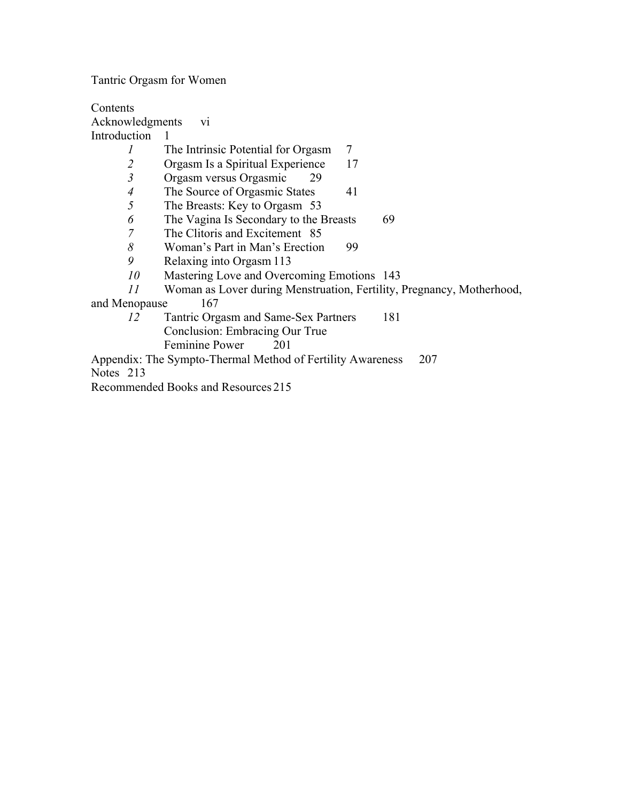Tantric Orgasm for Women

Contents Acknowledgments vi

Introduction 1

- 1 The Intrinsic Potential for Orgasm 7
- 2 Orgasm Is a Spiritual Experience 17
- *3* Orgasm versus Orgasmic 29
- *4* The Source of Orgasmic States 41
- *5* The Breasts: Key to Orgasm 53
- *6* The Vagina Is Secondary to the Breasts 69
- *7* The Clitoris and Excitement 85
- *8* Woman's Part in Man's Erection 99
- *9* Relaxing into Orgasm 113
- *10* Mastering Love and Overcoming Emotions 143
- *11* Woman as Lover during Menstruation, Fertility, Pregnancy, Motherhood,

and Menopause 167

*12* Tantric Orgasm and Same-Sex Partners 181 Conclusion: Embracing Our True Feminine Power 201

Appendix: The Sympto-Thermal Method of Fertility Awareness 207 Notes 213

Recommended Books and Resources 215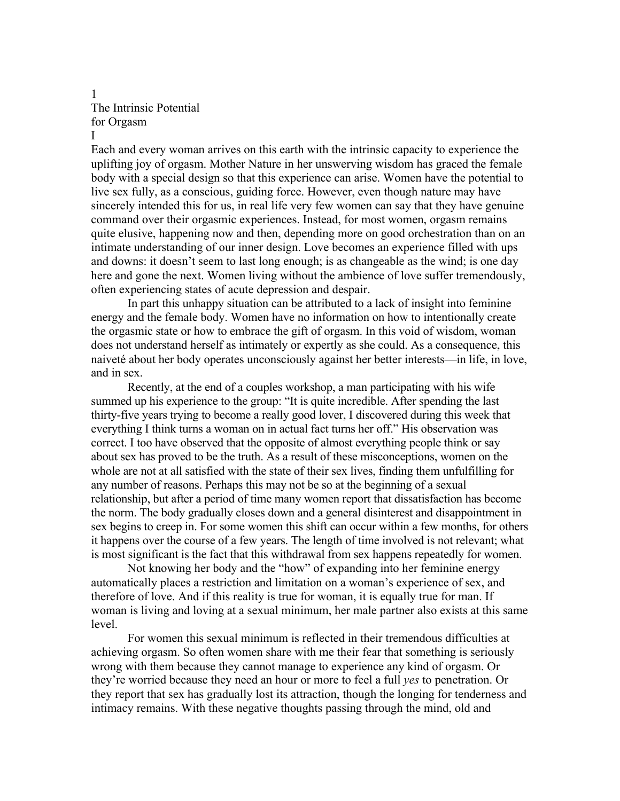## 1 The Intrinsic Potential for Orgasm  $\mathbf{I}$

Each and every woman arrives on this earth with the intrinsic capacity to experience the uplifting joy of orgasm. Mother Nature in her unswerving wisdom has graced the female body with a special design so that this experience can arise. Women have the potential to live sex fully, as a conscious, guiding force. However, even though nature may have sincerely intended this for us, in real life very few women can say that they have genuine command over their orgasmic experiences. Instead, for most women, orgasm remains quite elusive, happening now and then, depending more on good orchestration than on an intimate understanding of our inner design. Love becomes an experience filled with ups and downs: it doesn't seem to last long enough; is as changeable as the wind; is one day here and gone the next. Women living without the ambience of love suffer tremendously, often experiencing states of acute depression and despair.

In part this unhappy situation can be attributed to a lack of insight into feminine energy and the female body. Women have no information on how to intentionally create the orgasmic state or how to embrace the gift of orgasm. In this void of wisdom, woman does not understand herself as intimately or expertly as she could. As a consequence, this naiveté about her body operates unconsciously against her better interests—in life, in love, and in sex.

Recently, at the end of a couples workshop, a man participating with his wife summed up his experience to the group: "It is quite incredible. After spending the last thirty-five years trying to become a really good lover, I discovered during this week that everything I think turns a woman on in actual fact turns her off." His observation was correct. I too have observed that the opposite of almost everything people think or say about sex has proved to be the truth. As a result of these misconceptions, women on the whole are not at all satisfied with the state of their sex lives, finding them unfulfilling for any number of reasons. Perhaps this may not be so at the beginning of a sexual relationship, but after a period of time many women report that dissatisfaction has become the norm. The body gradually closes down and a general disinterest and disappointment in sex begins to creep in. For some women this shift can occur within a few months, for others it happens over the course of a few years. The length of time involved is not relevant; what is most significant is the fact that this withdrawal from sex happens repeatedly for women.

Not knowing her body and the "how" of expanding into her feminine energy automatically places a restriction and limitation on a woman's experience of sex, and therefore of love. And if this reality is true for woman, it is equally true for man. If woman is living and loving at a sexual minimum, her male partner also exists at this same level.

For women this sexual minimum is reflected in their tremendous difficulties at achieving orgasm. So often women share with me their fear that something is seriously wrong with them because they cannot manage to experience any kind of orgasm. Or they're worried because they need an hour or more to feel a full *yes* to penetration. Or they report that sex has gradually lost its attraction, though the longing for tenderness and intimacy remains. With these negative thoughts passing through the mind, old and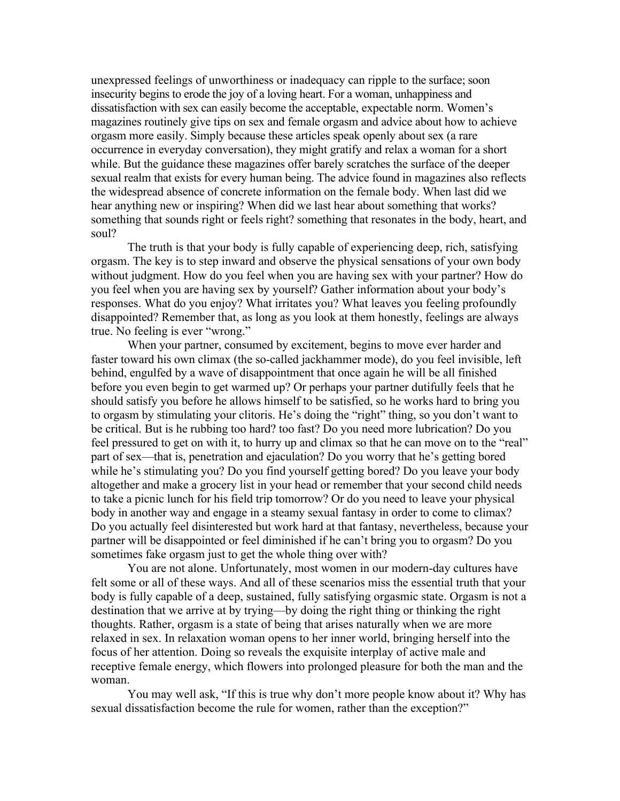unexpressed feelings of unworthiness or inadequacy can ripple to the surface; soon insecurity begins to erode the joy of a loving heart. For a woman, unhappiness and dissatisfaction with sex can easily become the acceptable, expectable norm. Women's magazines routinely give tips on sex and female orgasm and advice about how to achieve orgasm more easily. Simply because these articles speak openly about sex (a rare occurrence in everyday conversation), they might gratify and relax a woman for a short while. But the guidance these magazines offer barely scratches the surface of the deeper sexual realm that exists for every human being. The advice found in magazines also reflects the widespread absence of concrete information on the female body. When last did we hear anything new or inspiring? When did we last hear about something that works? something that sounds right or feels right? something that resonates in the body, heart, and soul?

The truth is that your body is fully capable of experiencing deep, rich, satisfying orgasm. The key is to step inward and observe the physical sensations of your own body without judgment. How do you feel when you are having sex with your partner? How do you feel when you are having sex by yourself? Gather information about your body's responses. What do you enjoy? What irritates you? What leaves you feeling profoundly disappointed? Remember that, as long as you look at them honestly, feelings are always true. No feeling is ever "wrong."

When your partner, consumed by excitement, begins to move ever harder and faster toward his own climax (the so-called jackhammer mode), do you feel invisible, left behind, engulfed by a wave of disappointment that once again he will be all finished before you even begin to get warmed up? Or perhaps your partner dutifully feels that he should satisfy you before he allows himself to be satisfied, so he works hard to bring you to orgasm by stimulating your clitoris. He's doing the "right" thing, so you don't want to be critical. But is he rubbing too hard? too fast? Do you need more lubrication? Do you feel pressured to get on with it, to hurry up and climax so that he can move on to the "real" part of sex—that is, penetration and ejaculation? Do you worry that he's getting bored while he's stimulating you? Do you find yourself getting bored? Do you leave your body altogether and make a grocery list in your head or remember that your second child needs to take a picnic lunch for his field trip tomorrow? Or do you need to leave your physical body in another way and engage in a steamy sexual fantasy in order to come to climax? Do you actually feel disinterested but work hard at that fantasy, nevertheless, because your partner will be disappointed or feel diminished if he can't bring you to orgasm? Do you sometimes fake orgasm just to get the whole thing over with?

You are not alone. Unfortunately, most women in our modern-day cultures have felt some or all of these ways. And all of these scenarios miss the essential truth that your body is fully capable of a deep, sustained, fully satisfying orgasmic state. Orgasm is not a destination that we arrive at by trying—by doing the right thing or thinking the right thoughts. Rather, orgasm is a state of being that arises naturally when we are more relaxed in sex. In relaxation woman opens to her inner world, bringing herself into the focus of her attention. Doing so reveals the exquisite interplay of active male and receptive female energy, which flowers into prolonged pleasure for both the man and the woman.

You may well ask, "If this is true why don't more people know about it? Why has sexual dissatisfaction become the rule for women, rather than the exception?"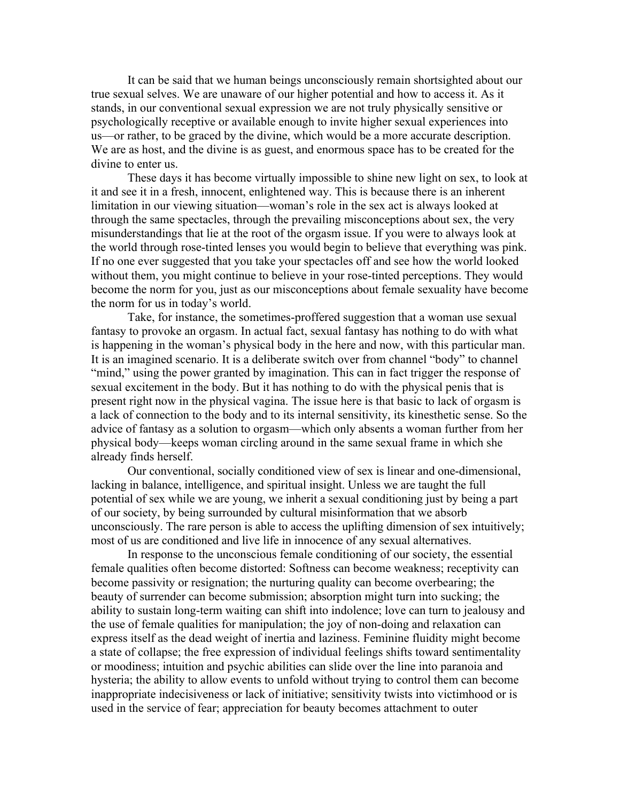It can be said that we human beings unconsciously remain shortsighted about our true sexual selves. We are unaware of our higher potential and how to access it. As it stands, in our conventional sexual expression we are not truly physically sensitive or psychologically receptive or available enough to invite higher sexual experiences into us—or rather, to be graced by the divine, which would be a more accurate description. We are as host, and the divine is as guest, and enormous space has to be created for the divine to enter us.

These days it has become virtually impossible to shine new light on sex, to look at it and see it in a fresh, innocent, enlightened way. This is because there is an inherent limitation in our viewing situation—woman's role in the sex act is always looked at through the same spectacles, through the prevailing misconceptions about sex, the very misunderstandings that lie at the root of the orgasm issue. If you were to always look at the world through rose-tinted lenses you would begin to believe that everything was pink. If no one ever suggested that you take your spectacles off and see how the world looked without them, you might continue to believe in your rose-tinted perceptions. They would become the norm for you, just as our misconceptions about female sexuality have become the norm for us in today's world.

Take, for instance, the sometimes-proffered suggestion that a woman use sexual fantasy to provoke an orgasm. In actual fact, sexual fantasy has nothing to do with what is happening in the woman's physical body in the here and now, with this particular man. It is an imagined scenario. It is a deliberate switch over from channel "body" to channel "mind," using the power granted by imagination. This can in fact trigger the response of sexual excitement in the body. But it has nothing to do with the physical penis that is present right now in the physical vagina. The issue here is that basic to lack of orgasm is a lack of connection to the body and to its internal sensitivity, its kinesthetic sense. So the advice of fantasy as a solution to orgasm—which only absents a woman further from her physical body—keeps woman circling around in the same sexual frame in which she already finds herself.

Our conventional, socially conditioned view of sex is linear and one-dimensional, lacking in balance, intelligence, and spiritual insight. Unless we are taught the full potential of sex while we are young, we inherit a sexual conditioning just by being a part of our society, by being surrounded by cultural misinformation that we absorb unconsciously. The rare person is able to access the uplifting dimension of sex intuitively; most of us are conditioned and live life in innocence of any sexual alternatives.

In response to the unconscious female conditioning of our society, the essential female qualities often become distorted: Softness can become weakness; receptivity can become passivity or resignation; the nurturing quality can become overbearing; the beauty of surrender can become submission; absorption might turn into sucking; the ability to sustain long-term waiting can shift into indolence; love can turn to jealousy and the use of female qualities for manipulation; the joy of non-doing and relaxation can express itself as the dead weight of inertia and laziness. Feminine fluidity might become a state of collapse; the free expression of individual feelings shifts toward sentimentality or moodiness; intuition and psychic abilities can slide over the line into paranoia and hysteria; the ability to allow events to unfold without trying to control them can become inappropriate indecisiveness or lack of initiative; sensitivity twists into victimhood or is used in the service of fear; appreciation for beauty becomes attachment to outer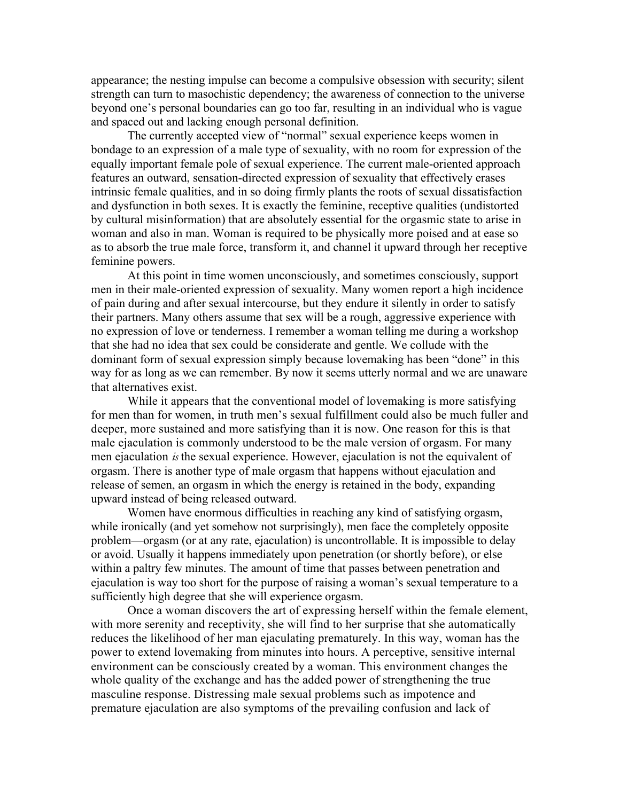appearance; the nesting impulse can become a compulsive obsession with security; silent strength can turn to masochistic dependency; the awareness of connection to the universe beyond one's personal boundaries can go too far, resulting in an individual who is vague and spaced out and lacking enough personal definition.

The currently accepted view of "normal" sexual experience keeps women in bondage to an expression of a male type of sexuality, with no room for expression of the equally important female pole of sexual experience. The current male-oriented approach features an outward, sensation-directed expression of sexuality that effectively erases intrinsic female qualities, and in so doing firmly plants the roots of sexual dissatisfaction and dysfunction in both sexes. It is exactly the feminine, receptive qualities (undistorted by cultural misinformation) that are absolutely essential for the orgasmic state to arise in woman and also in man. Woman is required to be physically more poised and at ease so as to absorb the true male force, transform it, and channel it upward through her receptive feminine powers.

At this point in time women unconsciously, and sometimes consciously, support men in their male-oriented expression of sexuality. Many women report a high incidence of pain during and after sexual intercourse, but they endure it silently in order to satisfy their partners. Many others assume that sex will be a rough, aggressive experience with no expression of love or tenderness. I remember a woman telling me during a workshop that she had no idea that sex could be considerate and gentle. We collude with the dominant form of sexual expression simply because lovemaking has been "done" in this way for as long as we can remember. By now it seems utterly normal and we are unaware that alternatives exist.

While it appears that the conventional model of lovemaking is more satisfying for men than for women, in truth men's sexual fulfillment could also be much fuller and deeper, more sustained and more satisfying than it is now. One reason for this is that male ejaculation is commonly understood to be the male version of orgasm. For many men ejaculation *is* the sexual experience. However, ejaculation is not the equivalent of orgasm. There is another type of male orgasm that happens without ejaculation and release of semen, an orgasm in which the energy is retained in the body, expanding upward instead of being released outward.

Women have enormous difficulties in reaching any kind of satisfying orgasm, while ironically (and yet somehow not surprisingly), men face the completely opposite problem—orgasm (or at any rate, ejaculation) is uncontrollable. It is impossible to delay or avoid. Usually it happens immediately upon penetration (or shortly before), or else within a paltry few minutes. The amount of time that passes between penetration and ejaculation is way too short for the purpose of raising a woman's sexual temperature to a sufficiently high degree that she will experience orgasm.

Once a woman discovers the art of expressing herself within the female element, with more serenity and receptivity, she will find to her surprise that she automatically reduces the likelihood of her man ejaculating prematurely. In this way, woman has the power to extend lovemaking from minutes into hours. A perceptive, sensitive internal environment can be consciously created by a woman. This environment changes the whole quality of the exchange and has the added power of strengthening the true masculine response. Distressing male sexual problems such as impotence and premature ejaculation are also symptoms of the prevailing confusion and lack of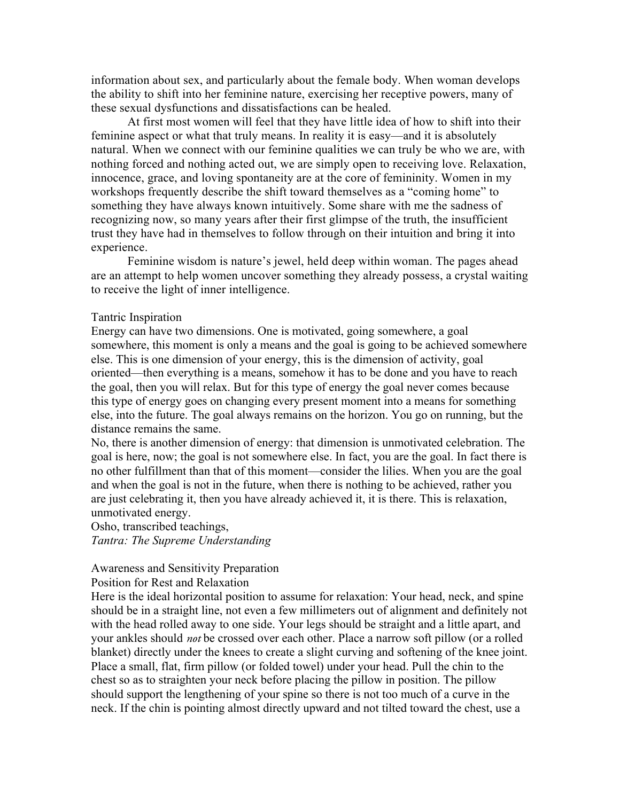information about sex, and particularly about the female body. When woman develops the ability to shift into her feminine nature, exercising her receptive powers, many of these sexual dysfunctions and dissatisfactions can be healed.

At first most women will feel that they have little idea of how to shift into their feminine aspect or what that truly means. In reality it is easy—and it is absolutely natural. When we connect with our feminine qualities we can truly be who we are, with nothing forced and nothing acted out, we are simply open to receiving love. Relaxation, innocence, grace, and loving spontaneity are at the core of femininity. Women in my workshops frequently describe the shift toward themselves as a "coming home" to something they have always known intuitively. Some share with me the sadness of recognizing now, so many years after their first glimpse of the truth, the insufficient trust they have had in themselves to follow through on their intuition and bring it into experience.

Feminine wisdom is nature's jewel, held deep within woman. The pages ahead are an attempt to help women uncover something they already possess, a crystal waiting to receive the light of inner intelligence.

## Tantric Inspiration

Energy can have two dimensions. One is motivated, going somewhere, a goal somewhere, this moment is only a means and the goal is going to be achieved somewhere else. This is one dimension of your energy, this is the dimension of activity, goal oriented—then everything is a means, somehow it has to be done and you have to reach the goal, then you will relax. But for this type of energy the goal never comes because this type of energy goes on changing every present moment into a means for something else, into the future. The goal always remains on the horizon. You go on running, but the distance remains the same.

No, there is another dimension of energy: that dimension is unmotivated celebration. The goal is here, now; the goal is not somewhere else. In fact, you are the goal. In fact there is no other fulfillment than that of this moment—consider the lilies. When you are the goal and when the goal is not in the future, when there is nothing to be achieved, rather you are just celebrating it, then you have already achieved it, it is there. This is relaxation, unmotivated energy.

Osho, transcribed teachings,

*Tantra: The Supreme Understanding*

## Awareness and Sensitivity Preparation

Position for Rest and Relaxation

Here is the ideal horizontal position to assume for relaxation: Your head, neck, and spine should be in a straight line, not even a few millimeters out of alignment and definitely not with the head rolled away to one side. Your legs should be straight and a little apart, and your ankles should *not* be crossed over each other. Place a narrow soft pillow (or a rolled blanket) directly under the knees to create a slight curving and softening of the knee joint. Place a small, flat, firm pillow (or folded towel) under your head. Pull the chin to the chest so as to straighten your neck before placing the pillow in position. The pillow should support the lengthening of your spine so there is not too much of a curve in the neck. If the chin is pointing almost directly upward and not tilted toward the chest, use a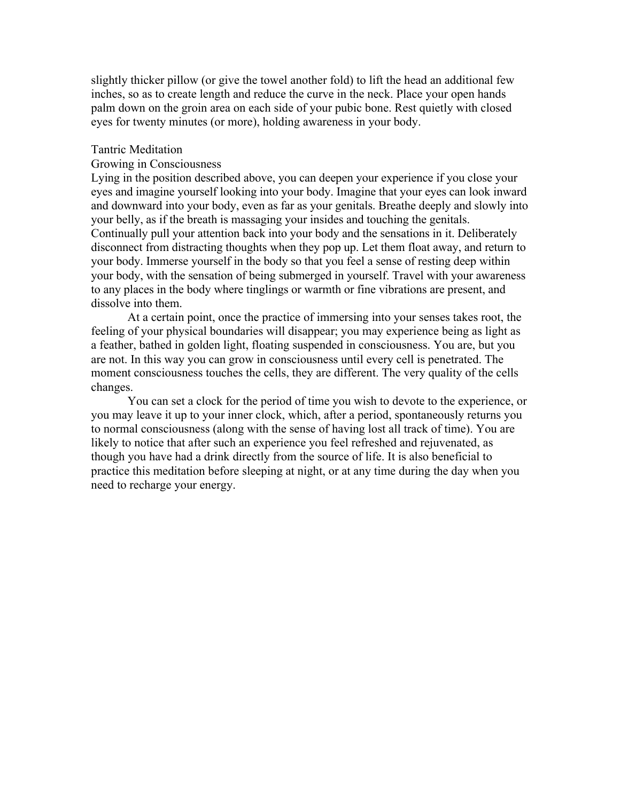slightly thicker pillow (or give the towel another fold) to lift the head an additional few inches, so as to create length and reduce the curve in the neck. Place your open hands palm down on the groin area on each side of your pubic bone. Rest quietly with closed eyes for twenty minutes (or more), holding awareness in your body.

## Tantric Meditation

## Growing in Consciousness

Lying in the position described above, you can deepen your experience if you close your eyes and imagine yourself looking into your body. Imagine that your eyes can look inward and downward into your body, even as far as your genitals. Breathe deeply and slowly into your belly, as if the breath is massaging your insides and touching the genitals. Continually pull your attention back into your body and the sensations in it. Deliberately disconnect from distracting thoughts when they pop up. Let them float away, and return to your body. Immerse yourself in the body so that you feel a sense of resting deep within your body, with the sensation of being submerged in yourself. Travel with your awareness to any places in the body where tinglings or warmth or fine vibrations are present, and dissolve into them.

At a certain point, once the practice of immersing into your senses takes root, the feeling of your physical boundaries will disappear; you may experience being as light as a feather, bathed in golden light, floating suspended in consciousness. You are, but you are not. In this way you can grow in consciousness until every cell is penetrated. The moment consciousness touches the cells, they are different. The very quality of the cells changes.

You can set a clock for the period of time you wish to devote to the experience, or you may leave it up to your inner clock, which, after a period, spontaneously returns you to normal consciousness (along with the sense of having lost all track of time). You are likely to notice that after such an experience you feel refreshed and rejuvenated, as though you have had a drink directly from the source of life. It is also beneficial to practice this meditation before sleeping at night, or at any time during the day when you need to recharge your energy.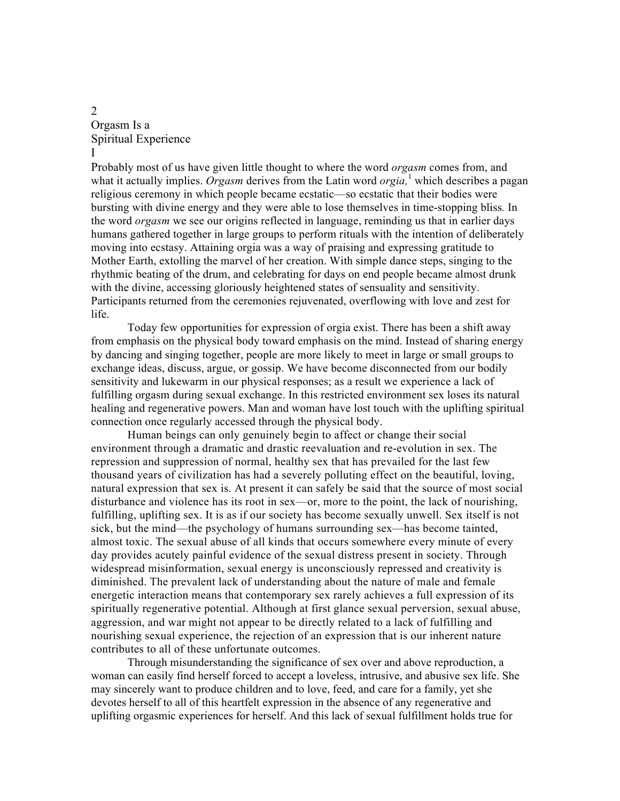## 2 Orgasm Is a Spiritual Experience I

Probably most of us have given little thought to where the word *orgasm* comes from, and what it actually implies. *Orgasm* derives from the Latin word *orgia*,<sup>1</sup> which describes a pagan religious ceremony in which people became ecstatic—so ecstatic that their bodies were bursting with divine energy and they were able to lose themselves in time-stopping bliss*.* In the word *orgasm* we see our origins reflected in language, reminding us that in earlier days humans gathered together in large groups to perform rituals with the intention of deliberately moving into ecstasy. Attaining orgia was a way of praising and expressing gratitude to Mother Earth, extolling the marvel of her creation. With simple dance steps, singing to the rhythmic beating of the drum, and celebrating for days on end people became almost drunk with the divine, accessing gloriously heightened states of sensuality and sensitivity. Participants returned from the ceremonies rejuvenated, overflowing with love and zest for life.

Today few opportunities for expression of orgia exist. There has been a shift away from emphasis on the physical body toward emphasis on the mind. Instead of sharing energy by dancing and singing together, people are more likely to meet in large or small groups to exchange ideas, discuss, argue, or gossip. We have become disconnected from our bodily sensitivity and lukewarm in our physical responses; as a result we experience a lack of fulfilling orgasm during sexual exchange. In this restricted environment sex loses its natural healing and regenerative powers. Man and woman have lost touch with the uplifting spiritual connection once regularly accessed through the physical body.

Human beings can only genuinely begin to affect or change their social environment through a dramatic and drastic reevaluation and re-evolution in sex. The repression and suppression of normal, healthy sex that has prevailed for the last few thousand years of civilization has had a severely polluting effect on the beautiful, loving, natural expression that sex is. At present it can safely be said that the source of most social disturbance and violence has its root in sex—or, more to the point, the lack of nourishing, fulfilling, uplifting sex. It is as if our society has become sexually unwell. Sex itself is not sick, but the mind—the psychology of humans surrounding sex—has become tainted, almost toxic. The sexual abuse of all kinds that occurs somewhere every minute of every day provides acutely painful evidence of the sexual distress present in society. Through widespread misinformation, sexual energy is unconsciously repressed and creativity is diminished. The prevalent lack of understanding about the nature of male and female energetic interaction means that contemporary sex rarely achieves a full expression of its spiritually regenerative potential. Although at first glance sexual perversion, sexual abuse, aggression, and war might not appear to be directly related to a lack of fulfilling and nourishing sexual experience, the rejection of an expression that is our inherent nature contributes to all of these unfortunate outcomes.

Through misunderstanding the significance of sex over and above reproduction, a woman can easily find herself forced to accept a loveless, intrusive, and abusive sex life. She may sincerely want to produce children and to love, feed, and care for a family, yet she devotes herself to all of this heartfelt expression in the absence of any regenerative and uplifting orgasmic experiences for herself. And this lack of sexual fulfillment holds true for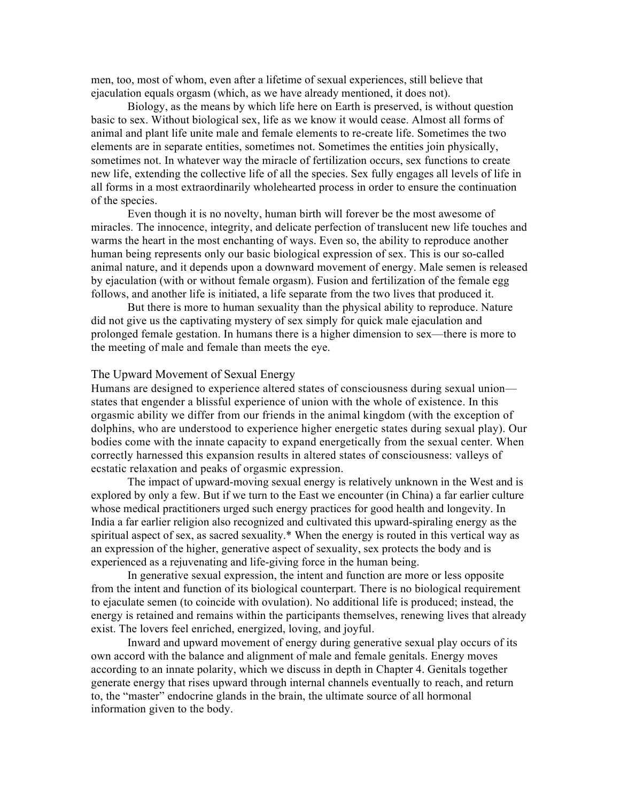men, too, most of whom, even after a lifetime of sexual experiences, still believe that ejaculation equals orgasm (which, as we have already mentioned, it does not).

Biology, as the means by which life here on Earth is preserved, is without question basic to sex. Without biological sex, life as we know it would cease. Almost all forms of animal and plant life unite male and female elements to re-create life. Sometimes the two elements are in separate entities, sometimes not. Sometimes the entities join physically, sometimes not. In whatever way the miracle of fertilization occurs, sex functions to create new life, extending the collective life of all the species. Sex fully engages all levels of life in all forms in a most extraordinarily wholehearted process in order to ensure the continuation of the species.

Even though it is no novelty, human birth will forever be the most awesome of miracles. The innocence, integrity, and delicate perfection of translucent new life touches and warms the heart in the most enchanting of ways. Even so, the ability to reproduce another human being represents only our basic biological expression of sex. This is our so-called animal nature, and it depends upon a downward movement of energy. Male semen is released by ejaculation (with or without female orgasm). Fusion and fertilization of the female egg follows, and another life is initiated, a life separate from the two lives that produced it.

But there is more to human sexuality than the physical ability to reproduce. Nature did not give us the captivating mystery of sex simply for quick male ejaculation and prolonged female gestation. In humans there is a higher dimension to sex—there is more to the meeting of male and female than meets the eye.

## The Upward Movement of Sexual Energy

Humans are designed to experience altered states of consciousness during sexual union states that engender a blissful experience of union with the whole of existence. In this orgasmic ability we differ from our friends in the animal kingdom (with the exception of dolphins, who are understood to experience higher energetic states during sexual play). Our bodies come with the innate capacity to expand energetically from the sexual center. When correctly harnessed this expansion results in altered states of consciousness: valleys of ecstatic relaxation and peaks of orgasmic expression.

The impact of upward-moving sexual energy is relatively unknown in the West and is explored by only a few. But if we turn to the East we encounter (in China) a far earlier culture whose medical practitioners urged such energy practices for good health and longevity. In India a far earlier religion also recognized and cultivated this upward-spiraling energy as the spiritual aspect of sex, as sacred sexuality.\* When the energy is routed in this vertical way as an expression of the higher, generative aspect of sexuality, sex protects the body and is experienced as a rejuvenating and life-giving force in the human being.

In generative sexual expression, the intent and function are more or less opposite from the intent and function of its biological counterpart. There is no biological requirement to ejaculate semen (to coincide with ovulation). No additional life is produced; instead, the energy is retained and remains within the participants themselves, renewing lives that already exist. The lovers feel enriched, energized, loving, and joyful.

Inward and upward movement of energy during generative sexual play occurs of its own accord with the balance and alignment of male and female genitals. Energy moves according to an innate polarity, which we discuss in depth in Chapter 4. Genitals together generate energy that rises upward through internal channels eventually to reach, and return to, the "master" endocrine glands in the brain, the ultimate source of all hormonal information given to the body.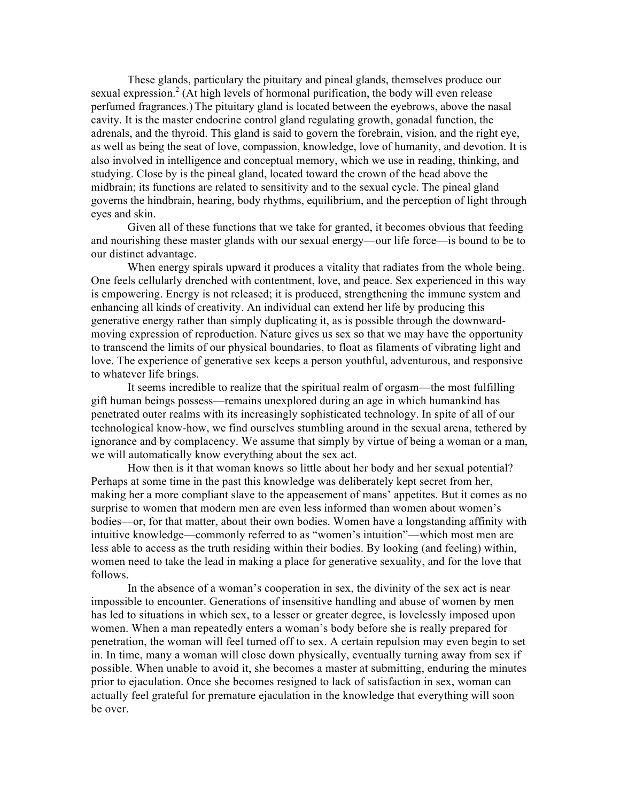These glands, particulary the pituitary and pineal glands, themselves produce our sexual expression.<sup>2</sup> (At high levels of hormonal purification, the body will even release perfumed fragrances.) The pituitary gland is located between the eyebrows, above the nasal cavity. It is the master endocrine control gland regulating growth, gonadal function, the adrenals, and the thyroid. This gland is said to govern the forebrain, vision, and the right eye, as well as being the seat of love, compassion, knowledge, love of humanity, and devotion. It is also involved in intelligence and conceptual memory, which we use in reading, thinking, and studying. Close by is the pineal gland, located toward the crown of the head above the midbrain; its functions are related to sensitivity and to the sexual cycle. The pineal gland governs the hindbrain, hearing, body rhythms, equilibrium, and the perception of light through eyes and skin.

Given all of these functions that we take for granted, it becomes obvious that feeding and nourishing these master glands with our sexual energy—our life force—is bound to be to our distinct advantage.

When energy spirals upward it produces a vitality that radiates from the whole being. One feels cellularly drenched with contentment, love, and peace. Sex experienced in this way is empowering. Energy is not released; it is produced, strengthening the immune system and enhancing all kinds of creativity. An individual can extend her life by producing this generative energy rather than simply duplicating it, as is possible through the downwardmoving expression of reproduction. Nature gives us sex so that we may have the opportunity to transcend the limits of our physical boundaries, to float as filaments of vibrating light and love. The experience of generative sex keeps a person youthful, adventurous, and responsive to whatever life brings.

It seems incredible to realize that the spiritual realm of orgasm—the most fulfilling gift human beings possess—remains unexplored during an age in which humankind has penetrated outer realms with its increasingly sophisticated technology. In spite of all of our technological know-how, we find ourselves stumbling around in the sexual arena, tethered by ignorance and by complacency. We assume that simply by virtue of being a woman or a man, we will automatically know everything about the sex act.

How then is it that woman knows so little about her body and her sexual potential? Perhaps at some time in the past this knowledge was deliberately kept secret from her, making her a more compliant slave to the appeasement of mans' appetites. But it comes as no surprise to women that modern men are even less informed than women about women's bodies—or, for that matter, about their own bodies. Women have a longstanding affinity with intuitive knowledge—commonly referred to as "women's intuition"—which most men are less able to access as the truth residing within their bodies. By looking (and feeling) within, women need to take the lead in making a place for generative sexuality, and for the love that follows.

In the absence of a woman's cooperation in sex, the divinity of the sex act is near impossible to encounter. Generations of insensitive handling and abuse of women by men has led to situations in which sex, to a lesser or greater degree, is lovelessly imposed upon women. When a man repeatedly enters a woman's body before she is really prepared for penetration, the woman will feel turned off to sex. A certain repulsion may even begin to set in. In time, many a woman will close down physically, eventually turning away from sex if possible. When unable to avoid it, she becomes a master at submitting, enduring the minutes prior to ejaculation. Once she becomes resigned to lack of satisfaction in sex, woman can actually feel grateful for premature ejaculation in the knowledge that everything will soon be over.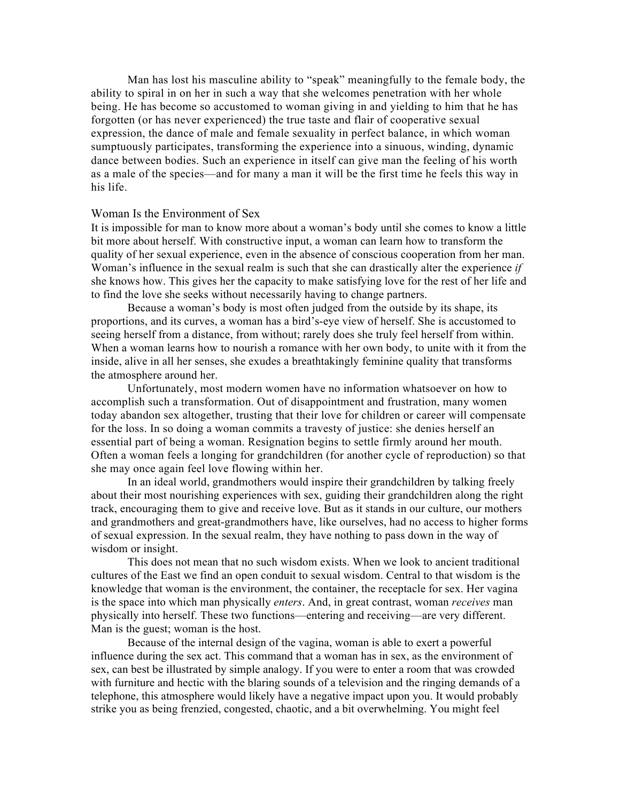Man has lost his masculine ability to "speak" meaningfully to the female body, the ability to spiral in on her in such a way that she welcomes penetration with her whole being. He has become so accustomed to woman giving in and yielding to him that he has forgotten (or has never experienced) the true taste and flair of cooperative sexual expression, the dance of male and female sexuality in perfect balance, in which woman sumptuously participates, transforming the experience into a sinuous, winding, dynamic dance between bodies. Such an experience in itself can give man the feeling of his worth as a male of the species—and for many a man it will be the first time he feels this way in his life.

### Woman Is the Environment of Sex

It is impossible for man to know more about a woman's body until she comes to know a little bit more about herself. With constructive input, a woman can learn how to transform the quality of her sexual experience, even in the absence of conscious cooperation from her man. Woman's influence in the sexual realm is such that she can drastically alter the experience *if* she knows how. This gives her the capacity to make satisfying love for the rest of her life and to find the love she seeks without necessarily having to change partners.

Because a woman's body is most often judged from the outside by its shape, its proportions, and its curves, a woman has a bird's-eye view of herself. She is accustomed to seeing herself from a distance, from without; rarely does she truly feel herself from within. When a woman learns how to nourish a romance with her own body, to unite with it from the inside, alive in all her senses, she exudes a breathtakingly feminine quality that transforms the atmosphere around her.

Unfortunately, most modern women have no information whatsoever on how to accomplish such a transformation. Out of disappointment and frustration, many women today abandon sex altogether, trusting that their love for children or career will compensate for the loss. In so doing a woman commits a travesty of justice: she denies herself an essential part of being a woman. Resignation begins to settle firmly around her mouth. Often a woman feels a longing for grandchildren (for another cycle of reproduction) so that she may once again feel love flowing within her.

In an ideal world, grandmothers would inspire their grandchildren by talking freely about their most nourishing experiences with sex, guiding their grandchildren along the right track, encouraging them to give and receive love. But as it stands in our culture, our mothers and grandmothers and great-grandmothers have, like ourselves, had no access to higher forms of sexual expression. In the sexual realm, they have nothing to pass down in the way of wisdom or insight.

This does not mean that no such wisdom exists. When we look to ancient traditional cultures of the East we find an open conduit to sexual wisdom. Central to that wisdom is the knowledge that woman is the environment, the container, the receptacle for sex. Her vagina is the space into which man physically *enters*. And, in great contrast, woman *receives* man physically into herself. These two functions—entering and receiving—are very different. Man is the guest; woman is the host.

Because of the internal design of the vagina, woman is able to exert a powerful influence during the sex act. This command that a woman has in sex, as the environment of sex, can best be illustrated by simple analogy. If you were to enter a room that was crowded with furniture and hectic with the blaring sounds of a television and the ringing demands of a telephone, this atmosphere would likely have a negative impact upon you. It would probably strike you as being frenzied, congested, chaotic, and a bit overwhelming. You might feel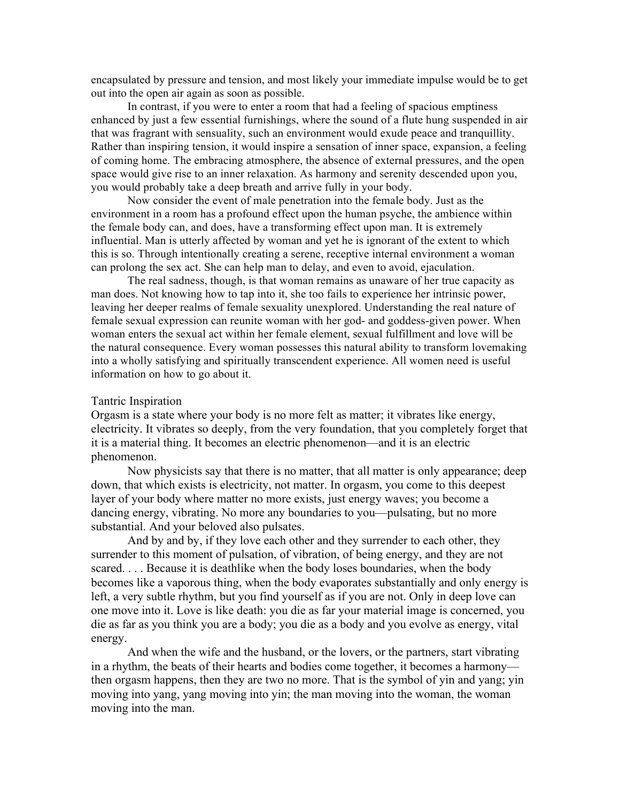encapsulated by pressure and tension, and most likely your immediate impulse would be to get out into the open air again as soon as possible.

In contrast, if you were to enter a room that had a feeling of spacious emptiness enhanced by just a few essential furnishings, where the sound of a flute hung suspended in air that was fragrant with sensuality, such an environment would exude peace and tranquillity. Rather than inspiring tension, it would inspire a sensation of inner space, expansion, a feeling of coming home. The embracing atmosphere, the absence of external pressures, and the open space would give rise to an inner relaxation. As harmony and serenity descended upon you, you would probably take a deep breath and arrive fully in your body.

Now consider the event of male penetration into the female body. Just as the environment in a room has a profound effect upon the human psyche, the ambience within the female body can, and does, have a transforming effect upon man. It is extremely influential. Man is utterly affected by woman and yet he is ignorant of the extent to which this is so. Through intentionally creating a serene, receptive internal environment a woman can prolong the sex act. She can help man to delay, and even to avoid, ejaculation.

The real sadness, though, is that woman remains as unaware of her true capacity as man does. Not knowing how to tap into it, she too fails to experience her intrinsic power, leaving her deeper realms of female sexuality unexplored. Understanding the real nature of female sexual expression can reunite woman with her god- and goddess-given power. When woman enters the sexual act within her female element, sexual fulfillment and love will be the natural consequence. Every woman possesses this natural ability to transform lovemaking into a wholly satisfying and spiritually transcendent experience. All women need is useful information on how to go about it.

#### Tantric Inspiration

Orgasm is a state where your body is no more felt as matter; it vibrates like energy, electricity. It vibrates so deeply, from the very foundation, that you completely forget that it is a material thing. It becomes an electric phenomenon—and it is an electric phenomenon.

Now physicists say that there is no matter, that all matter is only appearance; deep down, that which exists is electricity, not matter. In orgasm, you come to this deepest layer of your body where matter no more exists, just energy waves; you become a dancing energy, vibrating. No more any boundaries to you—pulsating, but no more substantial. And your beloved also pulsates.

And by and by, if they love each other and they surrender to each other, they surrender to this moment of pulsation, of vibration, of being energy, and they are not scared. . . . Because it is deathlike when the body loses boundaries, when the body becomes like a vaporous thing, when the body evaporates substantially and only energy is left, a very subtle rhythm, but you find yourself as if you are not. Only in deep love can one move into it. Love is like death: you die as far your material image is concerned, you die as far as you think you are a body; you die as a body and you evolve as energy, vital energy.

And when the wife and the husband, or the lovers, or the partners, start vibrating in a rhythm, the beats of their hearts and bodies come together, it becomes a harmony then orgasm happens, then they are two no more. That is the symbol of yin and yang; yin moving into yang, yang moving into yin; the man moving into the woman, the woman moving into the man.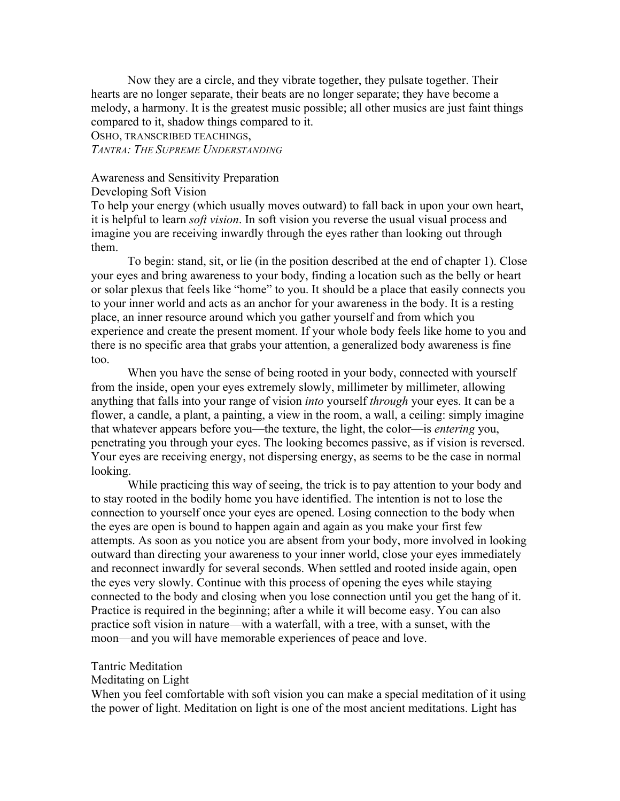Now they are a circle, and they vibrate together, they pulsate together. Their hearts are no longer separate, their beats are no longer separate; they have become a melody, a harmony. It is the greatest music possible; all other musics are just faint things compared to it, shadow things compared to it. OSHO, TRANSCRIBED TEACHINGS, *TANTRA: THE SUPREME UNDERSTANDING* 

#### Awareness and Sensitivity Preparation

### Developing Soft Vision

To help your energy (which usually moves outward) to fall back in upon your own heart, it is helpful to learn *soft vision*. In soft vision you reverse the usual visual process and imagine you are receiving inwardly through the eyes rather than looking out through them.

To begin: stand, sit, or lie (in the position described at the end of chapter 1). Close your eyes and bring awareness to your body, finding a location such as the belly or heart or solar plexus that feels like "home" to you. It should be a place that easily connects you to your inner world and acts as an anchor for your awareness in the body. It is a resting place, an inner resource around which you gather yourself and from which you experience and create the present moment. If your whole body feels like home to you and there is no specific area that grabs your attention, a generalized body awareness is fine too.

When you have the sense of being rooted in your body, connected with yourself from the inside, open your eyes extremely slowly, millimeter by millimeter, allowing anything that falls into your range of vision *into* yourself *through* your eyes. It can be a flower, a candle, a plant, a painting, a view in the room, a wall, a ceiling: simply imagine that whatever appears before you—the texture, the light, the color—is *entering* you, penetrating you through your eyes. The looking becomes passive, as if vision is reversed. Your eyes are receiving energy, not dispersing energy, as seems to be the case in normal looking.

While practicing this way of seeing, the trick is to pay attention to your body and to stay rooted in the bodily home you have identified. The intention is not to lose the connection to yourself once your eyes are opened. Losing connection to the body when the eyes are open is bound to happen again and again as you make your first few attempts. As soon as you notice you are absent from your body, more involved in looking outward than directing your awareness to your inner world, close your eyes immediately and reconnect inwardly for several seconds. When settled and rooted inside again, open the eyes very slowly. Continue with this process of opening the eyes while staying connected to the body and closing when you lose connection until you get the hang of it. Practice is required in the beginning; after a while it will become easy. You can also practice soft vision in nature—with a waterfall, with a tree, with a sunset, with the moon—and you will have memorable experiences of peace and love.

#### Tantric Meditation

### Meditating on Light

When you feel comfortable with soft vision you can make a special meditation of it using the power of light. Meditation on light is one of the most ancient meditations. Light has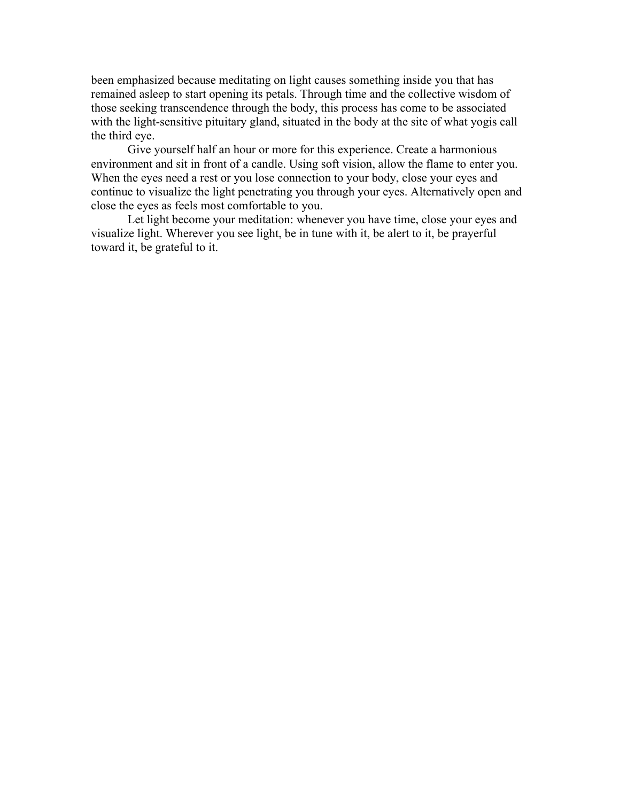been emphasized because meditating on light causes something inside you that has remained asleep to start opening its petals. Through time and the collective wisdom of those seeking transcendence through the body, this process has come to be associated with the light-sensitive pituitary gland, situated in the body at the site of what yogis call the third eye.

Give yourself half an hour or more for this experience. Create a harmonious environment and sit in front of a candle. Using soft vision, allow the flame to enter you. When the eyes need a rest or you lose connection to your body, close your eyes and continue to visualize the light penetrating you through your eyes. Alternatively open and close the eyes as feels most comfortable to you.

Let light become your meditation: whenever you have time, close your eyes and visualize light. Wherever you see light, be in tune with it, be alert to it, be prayerful toward it, be grateful to it.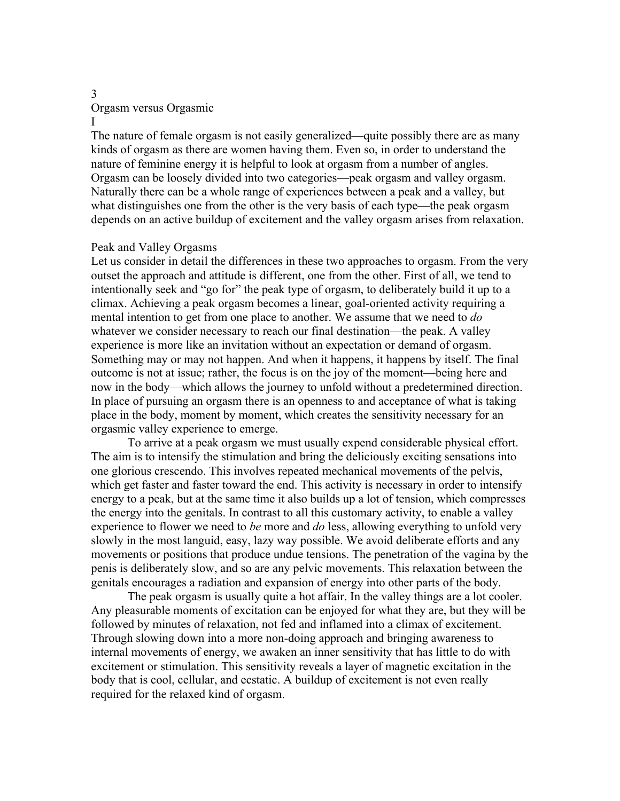# 3 Orgasm versus Orgasmic I

The nature of female orgasm is not easily generalized—quite possibly there are as many kinds of orgasm as there are women having them. Even so, in order to understand the nature of feminine energy it is helpful to look at orgasm from a number of angles. Orgasm can be loosely divided into two categories—peak orgasm and valley orgasm. Naturally there can be a whole range of experiences between a peak and a valley, but what distinguishes one from the other is the very basis of each type—the peak orgasm depends on an active buildup of excitement and the valley orgasm arises from relaxation.

## Peak and Valley Orgasms

Let us consider in detail the differences in these two approaches to orgasm. From the very outset the approach and attitude is different, one from the other. First of all, we tend to intentionally seek and "go for" the peak type of orgasm, to deliberately build it up to a climax. Achieving a peak orgasm becomes a linear, goal-oriented activity requiring a mental intention to get from one place to another. We assume that we need to *do* whatever we consider necessary to reach our final destination—the peak. A valley experience is more like an invitation without an expectation or demand of orgasm. Something may or may not happen. And when it happens, it happens by itself. The final outcome is not at issue; rather, the focus is on the joy of the moment—being here and now in the body—which allows the journey to unfold without a predetermined direction. In place of pursuing an orgasm there is an openness to and acceptance of what is taking place in the body, moment by moment, which creates the sensitivity necessary for an orgasmic valley experience to emerge.

To arrive at a peak orgasm we must usually expend considerable physical effort. The aim is to intensify the stimulation and bring the deliciously exciting sensations into one glorious crescendo. This involves repeated mechanical movements of the pelvis, which get faster and faster toward the end. This activity is necessary in order to intensify energy to a peak, but at the same time it also builds up a lot of tension, which compresses the energy into the genitals. In contrast to all this customary activity, to enable a valley experience to flower we need to *be* more and *do* less, allowing everything to unfold very slowly in the most languid, easy, lazy way possible. We avoid deliberate efforts and any movements or positions that produce undue tensions. The penetration of the vagina by the penis is deliberately slow, and so are any pelvic movements. This relaxation between the genitals encourages a radiation and expansion of energy into other parts of the body.

The peak orgasm is usually quite a hot affair. In the valley things are a lot cooler. Any pleasurable moments of excitation can be enjoyed for what they are, but they will be followed by minutes of relaxation, not fed and inflamed into a climax of excitement. Through slowing down into a more non-doing approach and bringing awareness to internal movements of energy, we awaken an inner sensitivity that has little to do with excitement or stimulation. This sensitivity reveals a layer of magnetic excitation in the body that is cool, cellular, and ecstatic. A buildup of excitement is not even really required for the relaxed kind of orgasm.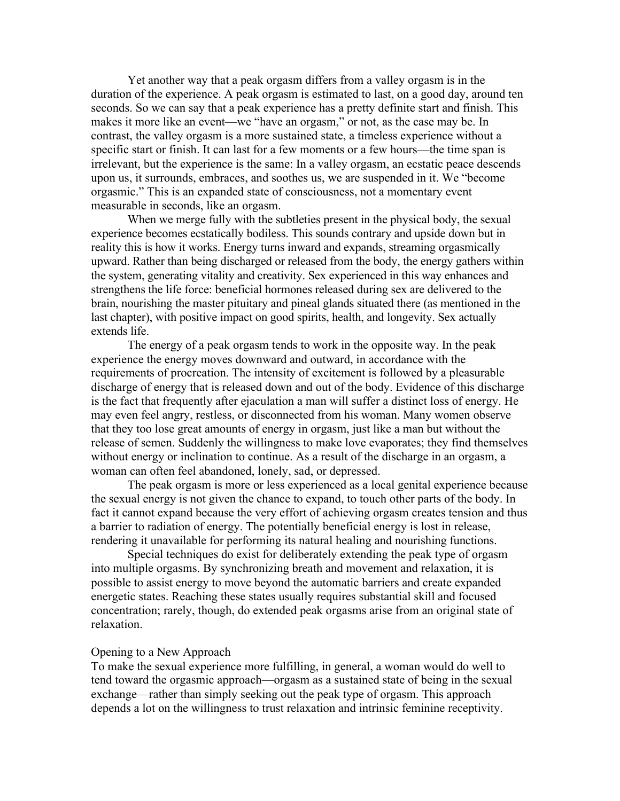Yet another way that a peak orgasm differs from a valley orgasm is in the duration of the experience. A peak orgasm is estimated to last, on a good day, around ten seconds. So we can say that a peak experience has a pretty definite start and finish. This makes it more like an event—we "have an orgasm," or not, as the case may be. In contrast, the valley orgasm is a more sustained state, a timeless experience without a specific start or finish. It can last for a few moments or a few hours—the time span is irrelevant, but the experience is the same: In a valley orgasm, an ecstatic peace descends upon us, it surrounds, embraces, and soothes us, we are suspended in it. We "become orgasmic." This is an expanded state of consciousness, not a momentary event measurable in seconds, like an orgasm.

When we merge fully with the subtleties present in the physical body, the sexual experience becomes ecstatically bodiless. This sounds contrary and upside down but in reality this is how it works. Energy turns inward and expands, streaming orgasmically upward. Rather than being discharged or released from the body, the energy gathers within the system, generating vitality and creativity. Sex experienced in this way enhances and strengthens the life force: beneficial hormones released during sex are delivered to the brain, nourishing the master pituitary and pineal glands situated there (as mentioned in the last chapter), with positive impact on good spirits, health, and longevity. Sex actually extends life.

The energy of a peak orgasm tends to work in the opposite way. In the peak experience the energy moves downward and outward, in accordance with the requirements of procreation. The intensity of excitement is followed by a pleasurable discharge of energy that is released down and out of the body. Evidence of this discharge is the fact that frequently after ejaculation a man will suffer a distinct loss of energy. He may even feel angry, restless, or disconnected from his woman. Many women observe that they too lose great amounts of energy in orgasm, just like a man but without the release of semen. Suddenly the willingness to make love evaporates; they find themselves without energy or inclination to continue. As a result of the discharge in an orgasm, a woman can often feel abandoned, lonely, sad, or depressed.

The peak orgasm is more or less experienced as a local genital experience because the sexual energy is not given the chance to expand, to touch other parts of the body. In fact it cannot expand because the very effort of achieving orgasm creates tension and thus a barrier to radiation of energy. The potentially beneficial energy is lost in release, rendering it unavailable for performing its natural healing and nourishing functions.

Special techniques do exist for deliberately extending the peak type of orgasm into multiple orgasms. By synchronizing breath and movement and relaxation, it is possible to assist energy to move beyond the automatic barriers and create expanded energetic states. Reaching these states usually requires substantial skill and focused concentration; rarely, though, do extended peak orgasms arise from an original state of relaxation.

## Opening to a New Approach

To make the sexual experience more fulfilling, in general, a woman would do well to tend toward the orgasmic approach—orgasm as a sustained state of being in the sexual exchange—rather than simply seeking out the peak type of orgasm. This approach depends a lot on the willingness to trust relaxation and intrinsic feminine receptivity.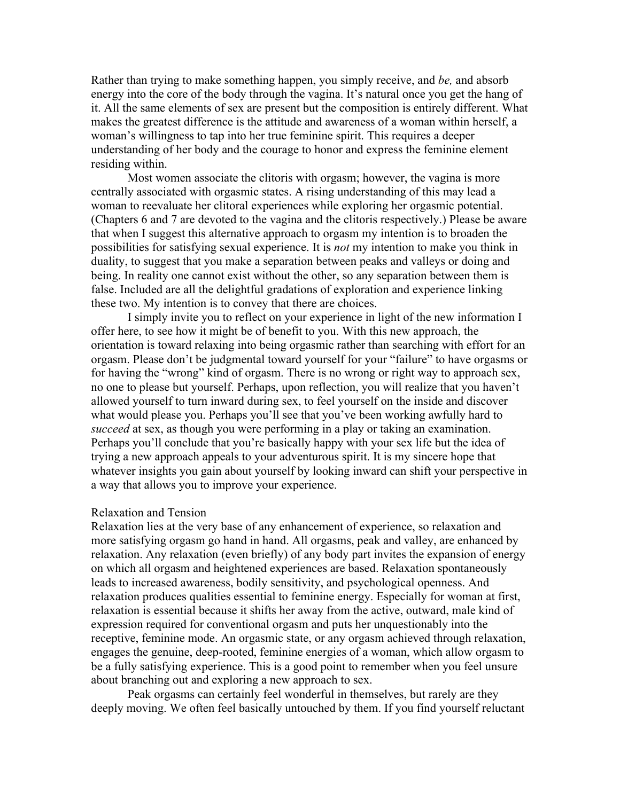Rather than trying to make something happen, you simply receive, and *be,* and absorb energy into the core of the body through the vagina. It's natural once you get the hang of it. All the same elements of sex are present but the composition is entirely different. What makes the greatest difference is the attitude and awareness of a woman within herself, a woman's willingness to tap into her true feminine spirit. This requires a deeper understanding of her body and the courage to honor and express the feminine element residing within.

Most women associate the clitoris with orgasm; however, the vagina is more centrally associated with orgasmic states. A rising understanding of this may lead a woman to reevaluate her clitoral experiences while exploring her orgasmic potential. (Chapters 6 and 7 are devoted to the vagina and the clitoris respectively.) Please be aware that when I suggest this alternative approach to orgasm my intention is to broaden the possibilities for satisfying sexual experience. It is *not* my intention to make you think in duality, to suggest that you make a separation between peaks and valleys or doing and being. In reality one cannot exist without the other, so any separation between them is false. Included are all the delightful gradations of exploration and experience linking these two. My intention is to convey that there are choices.

I simply invite you to reflect on your experience in light of the new information I offer here, to see how it might be of benefit to you. With this new approach, the orientation is toward relaxing into being orgasmic rather than searching with effort for an orgasm. Please don't be judgmental toward yourself for your "failure" to have orgasms or for having the "wrong" kind of orgasm. There is no wrong or right way to approach sex, no one to please but yourself. Perhaps, upon reflection, you will realize that you haven't allowed yourself to turn inward during sex, to feel yourself on the inside and discover what would please you. Perhaps you'll see that you've been working awfully hard to *succeed* at sex, as though you were performing in a play or taking an examination. Perhaps you'll conclude that you're basically happy with your sex life but the idea of trying a new approach appeals to your adventurous spirit. It is my sincere hope that whatever insights you gain about yourself by looking inward can shift your perspective in a way that allows you to improve your experience.

#### Relaxation and Tension

Relaxation lies at the very base of any enhancement of experience, so relaxation and more satisfying orgasm go hand in hand. All orgasms, peak and valley, are enhanced by relaxation. Any relaxation (even briefly) of any body part invites the expansion of energy on which all orgasm and heightened experiences are based. Relaxation spontaneously leads to increased awareness, bodily sensitivity, and psychological openness. And relaxation produces qualities essential to feminine energy. Especially for woman at first, relaxation is essential because it shifts her away from the active, outward, male kind of expression required for conventional orgasm and puts her unquestionably into the receptive, feminine mode. An orgasmic state, or any orgasm achieved through relaxation, engages the genuine, deep-rooted, feminine energies of a woman, which allow orgasm to be a fully satisfying experience. This is a good point to remember when you feel unsure about branching out and exploring a new approach to sex.

Peak orgasms can certainly feel wonderful in themselves, but rarely are they deeply moving. We often feel basically untouched by them. If you find yourself reluctant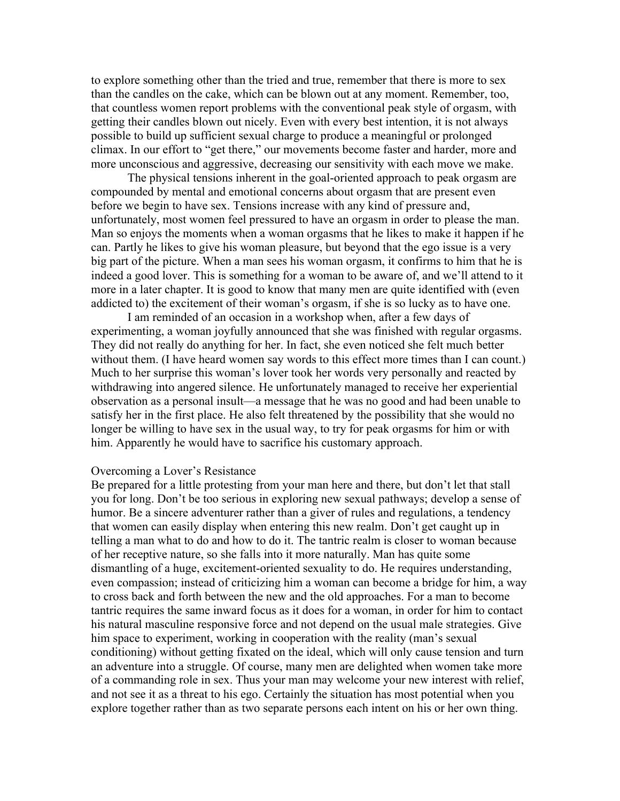to explore something other than the tried and true, remember that there is more to sex than the candles on the cake, which can be blown out at any moment. Remember, too, that countless women report problems with the conventional peak style of orgasm, with getting their candles blown out nicely. Even with every best intention, it is not always possible to build up sufficient sexual charge to produce a meaningful or prolonged climax. In our effort to "get there," our movements become faster and harder, more and more unconscious and aggressive, decreasing our sensitivity with each move we make.

The physical tensions inherent in the goal-oriented approach to peak orgasm are compounded by mental and emotional concerns about orgasm that are present even before we begin to have sex. Tensions increase with any kind of pressure and, unfortunately, most women feel pressured to have an orgasm in order to please the man. Man so enjoys the moments when a woman orgasms that he likes to make it happen if he can. Partly he likes to give his woman pleasure, but beyond that the ego issue is a very big part of the picture. When a man sees his woman orgasm, it confirms to him that he is indeed a good lover. This is something for a woman to be aware of, and we'll attend to it more in a later chapter. It is good to know that many men are quite identified with (even addicted to) the excitement of their woman's orgasm, if she is so lucky as to have one.

I am reminded of an occasion in a workshop when, after a few days of experimenting, a woman joyfully announced that she was finished with regular orgasms. They did not really do anything for her. In fact, she even noticed she felt much better without them. (I have heard women say words to this effect more times than I can count.) Much to her surprise this woman's lover took her words very personally and reacted by withdrawing into angered silence. He unfortunately managed to receive her experiential observation as a personal insult—a message that he was no good and had been unable to satisfy her in the first place. He also felt threatened by the possibility that she would no longer be willing to have sex in the usual way, to try for peak orgasms for him or with him. Apparently he would have to sacrifice his customary approach.

## Overcoming a Lover's Resistance

Be prepared for a little protesting from your man here and there, but don't let that stall you for long. Don't be too serious in exploring new sexual pathways; develop a sense of humor. Be a sincere adventurer rather than a giver of rules and regulations, a tendency that women can easily display when entering this new realm. Don't get caught up in telling a man what to do and how to do it. The tantric realm is closer to woman because of her receptive nature, so she falls into it more naturally. Man has quite some dismantling of a huge, excitement-oriented sexuality to do. He requires understanding, even compassion; instead of criticizing him a woman can become a bridge for him, a way to cross back and forth between the new and the old approaches. For a man to become tantric requires the same inward focus as it does for a woman, in order for him to contact his natural masculine responsive force and not depend on the usual male strategies. Give him space to experiment, working in cooperation with the reality (man's sexual conditioning) without getting fixated on the ideal, which will only cause tension and turn an adventure into a struggle. Of course, many men are delighted when women take more of a commanding role in sex. Thus your man may welcome your new interest with relief, and not see it as a threat to his ego. Certainly the situation has most potential when you explore together rather than as two separate persons each intent on his or her own thing.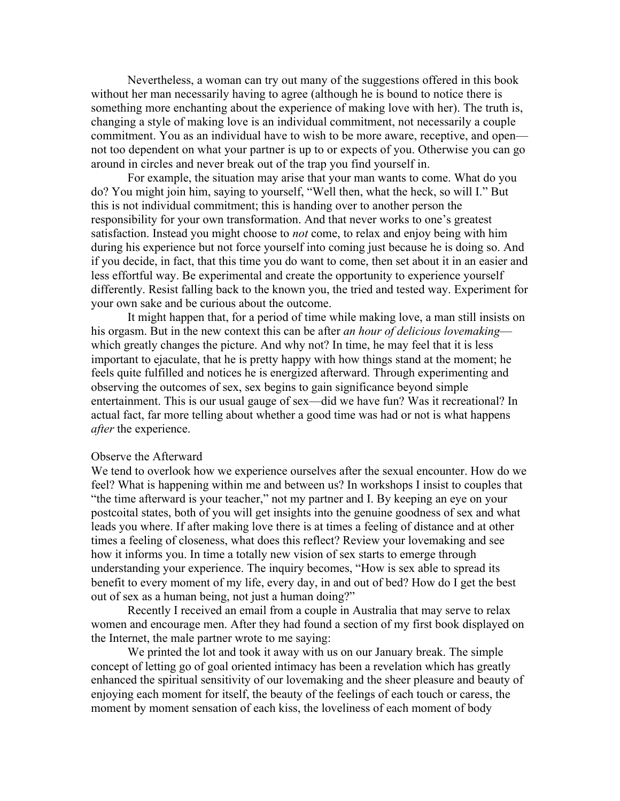Nevertheless, a woman can try out many of the suggestions offered in this book without her man necessarily having to agree (although he is bound to notice there is something more enchanting about the experience of making love with her). The truth is, changing a style of making love is an individual commitment, not necessarily a couple commitment. You as an individual have to wish to be more aware, receptive, and open not too dependent on what your partner is up to or expects of you. Otherwise you can go around in circles and never break out of the trap you find yourself in.

For example, the situation may arise that your man wants to come. What do you do? You might join him, saying to yourself, "Well then, what the heck, so will I." But this is not individual commitment; this is handing over to another person the responsibility for your own transformation. And that never works to one's greatest satisfaction. Instead you might choose to *not* come, to relax and enjoy being with him during his experience but not force yourself into coming just because he is doing so. And if you decide, in fact, that this time you do want to come, then set about it in an easier and less effortful way. Be experimental and create the opportunity to experience yourself differently. Resist falling back to the known you, the tried and tested way. Experiment for your own sake and be curious about the outcome.

It might happen that, for a period of time while making love, a man still insists on his orgasm. But in the new context this can be after *an hour of delicious lovemaking* which greatly changes the picture. And why not? In time, he may feel that it is less important to ejaculate, that he is pretty happy with how things stand at the moment; he feels quite fulfilled and notices he is energized afterward. Through experimenting and observing the outcomes of sex, sex begins to gain significance beyond simple entertainment. This is our usual gauge of sex—did we have fun? Was it recreational? In actual fact, far more telling about whether a good time was had or not is what happens *after* the experience.

### Observe the Afterward

We tend to overlook how we experience ourselves after the sexual encounter. How do we feel? What is happening within me and between us? In workshops I insist to couples that "the time afterward is your teacher," not my partner and I. By keeping an eye on your postcoital states, both of you will get insights into the genuine goodness of sex and what leads you where. If after making love there is at times a feeling of distance and at other times a feeling of closeness, what does this reflect? Review your lovemaking and see how it informs you. In time a totally new vision of sex starts to emerge through understanding your experience. The inquiry becomes, "How is sex able to spread its benefit to every moment of my life, every day, in and out of bed? How do I get the best out of sex as a human being, not just a human doing?"

Recently I received an email from a couple in Australia that may serve to relax women and encourage men. After they had found a section of my first book displayed on the Internet, the male partner wrote to me saying:

We printed the lot and took it away with us on our January break. The simple concept of letting go of goal oriented intimacy has been a revelation which has greatly enhanced the spiritual sensitivity of our lovemaking and the sheer pleasure and beauty of enjoying each moment for itself, the beauty of the feelings of each touch or caress, the moment by moment sensation of each kiss, the loveliness of each moment of body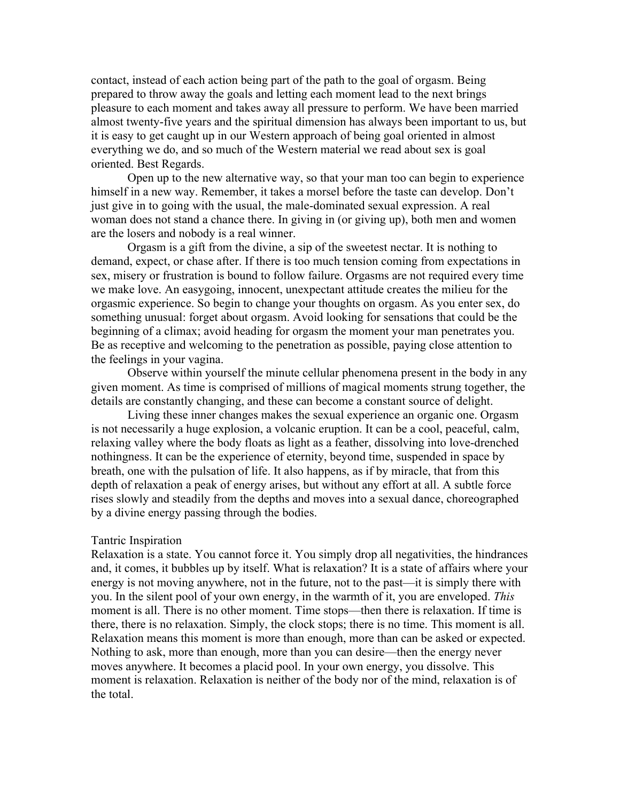contact, instead of each action being part of the path to the goal of orgasm. Being prepared to throw away the goals and letting each moment lead to the next brings pleasure to each moment and takes away all pressure to perform. We have been married almost twenty-five years and the spiritual dimension has always been important to us, but it is easy to get caught up in our Western approach of being goal oriented in almost everything we do, and so much of the Western material we read about sex is goal oriented. Best Regards.

Open up to the new alternative way, so that your man too can begin to experience himself in a new way. Remember, it takes a morsel before the taste can develop. Don't just give in to going with the usual, the male-dominated sexual expression. A real woman does not stand a chance there. In giving in (or giving up), both men and women are the losers and nobody is a real winner.

Orgasm is a gift from the divine, a sip of the sweetest nectar. It is nothing to demand, expect, or chase after. If there is too much tension coming from expectations in sex, misery or frustration is bound to follow failure. Orgasms are not required every time we make love. An easygoing, innocent, unexpectant attitude creates the milieu for the orgasmic experience. So begin to change your thoughts on orgasm. As you enter sex, do something unusual: forget about orgasm. Avoid looking for sensations that could be the beginning of a climax; avoid heading for orgasm the moment your man penetrates you. Be as receptive and welcoming to the penetration as possible, paying close attention to the feelings in your vagina.

Observe within yourself the minute cellular phenomena present in the body in any given moment. As time is comprised of millions of magical moments strung together, the details are constantly changing, and these can become a constant source of delight.

Living these inner changes makes the sexual experience an organic one. Orgasm is not necessarily a huge explosion, a volcanic eruption. It can be a cool, peaceful, calm, relaxing valley where the body floats as light as a feather, dissolving into love-drenched nothingness. It can be the experience of eternity, beyond time, suspended in space by breath, one with the pulsation of life. It also happens, as if by miracle, that from this depth of relaxation a peak of energy arises, but without any effort at all. A subtle force rises slowly and steadily from the depths and moves into a sexual dance, choreographed by a divine energy passing through the bodies.

### Tantric Inspiration

Relaxation is a state. You cannot force it. You simply drop all negativities, the hindrances and, it comes, it bubbles up by itself. What is relaxation? It is a state of affairs where your energy is not moving anywhere, not in the future, not to the past—it is simply there with you. In the silent pool of your own energy, in the warmth of it, you are enveloped. *This* moment is all. There is no other moment. Time stops—then there is relaxation. If time is there, there is no relaxation. Simply, the clock stops; there is no time. This moment is all. Relaxation means this moment is more than enough, more than can be asked or expected. Nothing to ask, more than enough, more than you can desire—then the energy never moves anywhere. It becomes a placid pool. In your own energy, you dissolve. This moment is relaxation. Relaxation is neither of the body nor of the mind, relaxation is of the total.